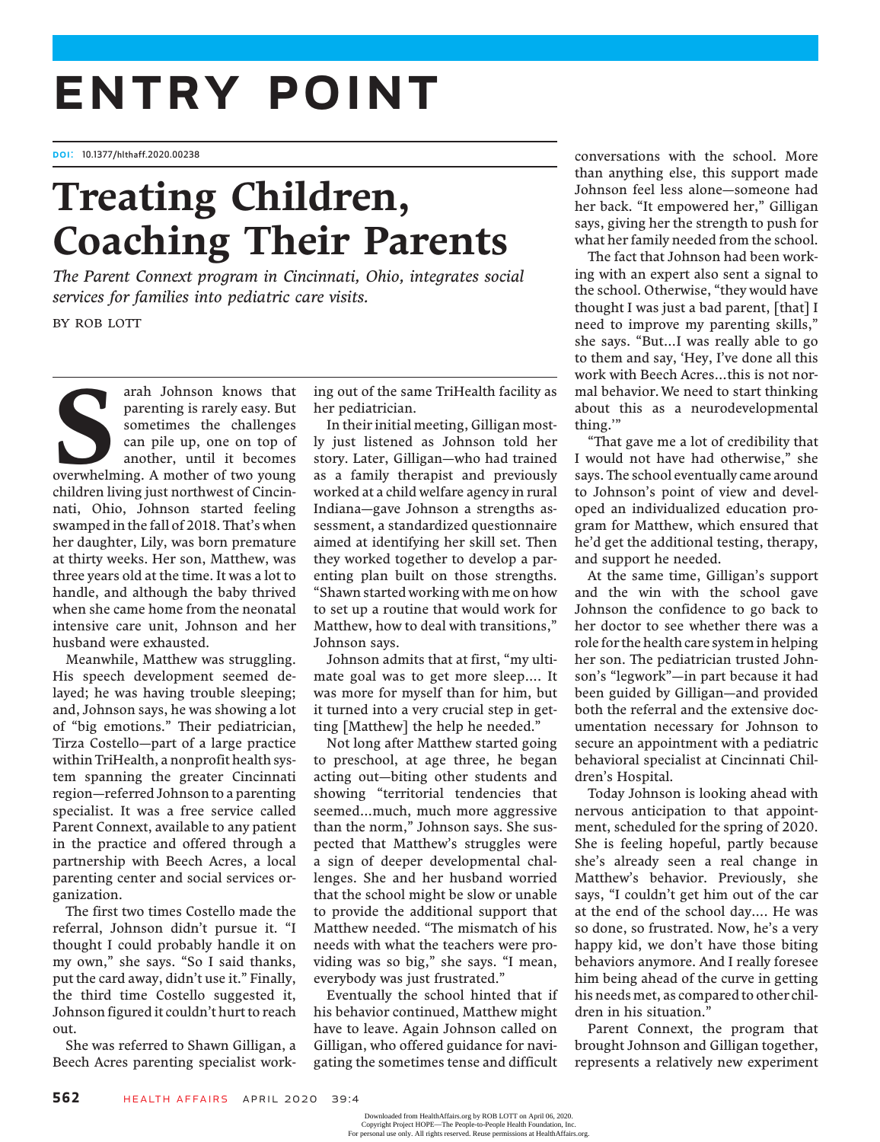# Entry Point

doi: 10.1377/hlthaff.2020.00238

## Treating Children, Coaching Their Parents

The Parent Connext program in Cincinnati, Ohio, integrates social services for families into pediatric care visits.

BY ROB LOTT

arah Johnson knows that<br>
parenting is rarely easy. But<br>
sometimes the challenges<br>
can pile up, one on top of<br>
another, until it becomes<br>
overwhelming. A mother of two young parenting is rarely easy. But sometimes the challenges can pile up, one on top of another, until it becomes children living just northwest of Cincinnati, Ohio, Johnson started feeling swamped in the fall of 2018. That's when her daughter, Lily, was born premature at thirty weeks. Her son, Matthew, was three years old at the time. It was a lot to handle, and although the baby thrived when she came home from the neonatal intensive care unit, Johnson and her husband were exhausted.

Meanwhile, Matthew was struggling. His speech development seemed delayed; he was having trouble sleeping; and, Johnson says, he was showing a lot of "big emotions." Their pediatrician, Tirza Costello—part of a large practice within TriHealth, a nonprofit health system spanning the greater Cincinnati region—referred Johnson to a parenting specialist. It was a free service called Parent Connext, available to any patient in the practice and offered through a partnership with Beech Acres, a local parenting center and social services organization.

The first two times Costello made the referral, Johnson didn't pursue it. "I thought I could probably handle it on my own," she says. "So I said thanks, put the card away, didn't use it." Finally, the third time Costello suggested it, Johnson figured it couldn't hurt to reach out.

She was referred to Shawn Gilligan, a Beech Acres parenting specialist work-

ing out of the same TriHealth facility as her pediatrician.

In their initial meeting, Gilligan mostly just listened as Johnson told her story. Later, Gilligan—who had trained as a family therapist and previously worked at a child welfare agency in rural Indiana—gave Johnson a strengths assessment, a standardized questionnaire aimed at identifying her skill set. Then they worked together to develop a parenting plan built on those strengths. "Shawn started working with me on how to set up a routine that would work for Matthew, how to deal with transitions," Johnson says.

Johnson admits that at first, "my ultimate goal was to get more sleep…. It was more for myself than for him, but it turned into a very crucial step in getting [Matthew] the help he needed."

Not long after Matthew started going to preschool, at age three, he began acting out—biting other students and showing "territorial tendencies that seemed…much, much more aggressive than the norm," Johnson says. She suspected that Matthew's struggles were a sign of deeper developmental challenges. She and her husband worried that the school might be slow or unable to provide the additional support that Matthew needed. "The mismatch of his needs with what the teachers were providing was so big," she says. "I mean, everybody was just frustrated."

Eventually the school hinted that if his behavior continued, Matthew might have to leave. Again Johnson called on Gilligan, who offered guidance for navigating the sometimes tense and difficult

conversations with the school. More than anything else, this support made Johnson feel less alone—someone had her back. "It empowered her," Gilligan says, giving her the strength to push for what her family needed from the school.

The fact that Johnson had been working with an expert also sent a signal to the school. Otherwise, "they would have thought I was just a bad parent, [that] I need to improve my parenting skills," she says. "But…I was really able to go to them and say, 'Hey, I've done all this work with Beech Acres…this is not normal behavior.We need to start thinking about this as a neurodevelopmental thing.'"

"That gave me a lot of credibility that I would not have had otherwise," she says. The school eventually came around to Johnson's point of view and developed an individualized education program for Matthew, which ensured that he'd get the additional testing, therapy, and support he needed.

At the same time, Gilligan's support and the win with the school gave Johnson the confidence to go back to her doctor to see whether there was a role for the health care system in helping her son. The pediatrician trusted Johnson's "legwork"—in part because it had been guided by Gilligan—and provided both the referral and the extensive documentation necessary for Johnson to secure an appointment with a pediatric behavioral specialist at Cincinnati Children's Hospital.

Today Johnson is looking ahead with nervous anticipation to that appointment, scheduled for the spring of 2020. She is feeling hopeful, partly because she's already seen a real change in Matthew's behavior. Previously, she says, "I couldn't get him out of the car at the end of the school day…. He was so done, so frustrated. Now, he's a very happy kid, we don't have those biting behaviors anymore. And I really foresee him being ahead of the curve in getting his needs met, as compared to other children in his situation."

Parent Connext, the program that brought Johnson and Gilligan together, represents a relatively new experiment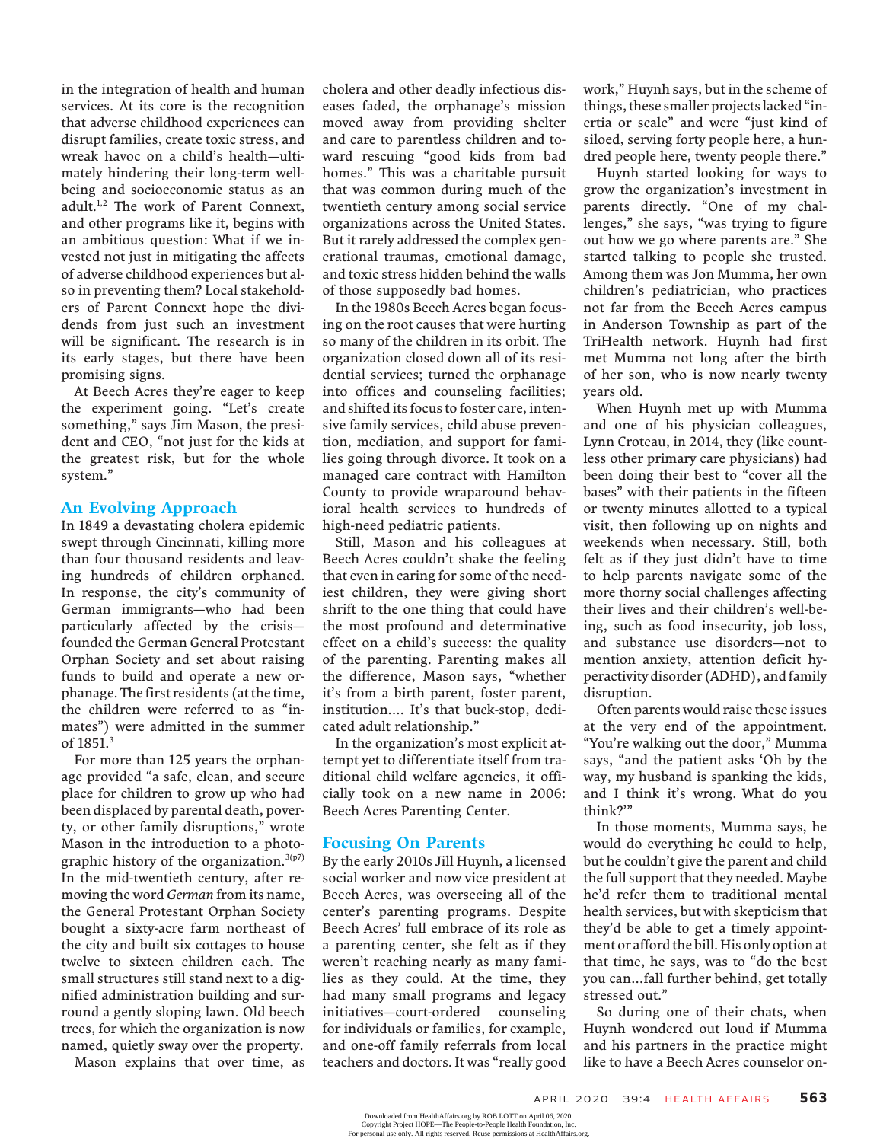in the integration of health and human services. At its core is the recognition that adverse childhood experiences can disrupt families, create toxic stress, and wreak havoc on a child's health—ultimately hindering their long-term wellbeing and socioeconomic status as an adult.<sup>1,2</sup> The work of Parent Connext, and other programs like it, begins with an ambitious question: What if we invested not just in mitigating the affects of adverse childhood experiences but also in preventing them? Local stakeholders of Parent Connext hope the dividends from just such an investment will be significant. The research is in its early stages, but there have been promising signs.

At Beech Acres they're eager to keep the experiment going. "Let's create something," says Jim Mason, the president and CEO, "not just for the kids at the greatest risk, but for the whole system."

#### An Evolving Approach

In 1849 a devastating cholera epidemic swept through Cincinnati, killing more than four thousand residents and leaving hundreds of children orphaned. In response, the city's community of German immigrants—who had been particularly affected by the crisis founded the German General Protestant Orphan Society and set about raising funds to build and operate a new orphanage. The first residents (at the time, the children were referred to as "inmates") were admitted in the summer of 1851.<sup>3</sup>

For more than 125 years the orphanage provided "a safe, clean, and secure place for children to grow up who had been displaced by parental death, poverty, or other family disruptions," wrote Mason in the introduction to a photographic history of the organization.<sup>3(p7)</sup> In the mid-twentieth century, after removing the word German from its name, the General Protestant Orphan Society bought a sixty-acre farm northeast of the city and built six cottages to house twelve to sixteen children each. The small structures still stand next to a dignified administration building and surround a gently sloping lawn. Old beech trees, for which the organization is now named, quietly sway over the property.

Mason explains that over time, as

cholera and other deadly infectious diseases faded, the orphanage's mission moved away from providing shelter and care to parentless children and toward rescuing "good kids from bad homes." This was a charitable pursuit that was common during much of the twentieth century among social service organizations across the United States. But it rarely addressed the complex generational traumas, emotional damage, and toxic stress hidden behind the walls of those supposedly bad homes.

In the 1980s Beech Acres began focusing on the root causes that were hurting so many of the children in its orbit. The organization closed down all of its residential services; turned the orphanage into offices and counseling facilities; and shifted its focus to foster care, intensive family services, child abuse prevention, mediation, and support for families going through divorce. It took on a managed care contract with Hamilton County to provide wraparound behavioral health services to hundreds of high-need pediatric patients.

Still, Mason and his colleagues at Beech Acres couldn't shake the feeling that even in caring for some of the neediest children, they were giving short shrift to the one thing that could have the most profound and determinative effect on a child's success: the quality of the parenting. Parenting makes all the difference, Mason says, "whether it's from a birth parent, foster parent, institution.… It's that buck-stop, dedicated adult relationship."

In the organization's most explicit attempt yet to differentiate itself from traditional child welfare agencies, it officially took on a new name in 2006: Beech Acres Parenting Center.

#### Focusing On Parents

By the early 2010s Jill Huynh, a licensed social worker and now vice president at Beech Acres, was overseeing all of the center's parenting programs. Despite Beech Acres' full embrace of its role as a parenting center, she felt as if they weren't reaching nearly as many families as they could. At the time, they had many small programs and legacy initiatives—court-ordered counseling for individuals or families, for example, and one-off family referrals from local teachers and doctors. It was "really good

work," Huynh says, but in the scheme of things, these smaller projects lacked "inertia or scale" and were "just kind of siloed, serving forty people here, a hundred people here, twenty people there."

Huynh started looking for ways to grow the organization's investment in parents directly. "One of my challenges," she says, "was trying to figure out how we go where parents are." She started talking to people she trusted. Among them was Jon Mumma, her own children's pediatrician, who practices not far from the Beech Acres campus in Anderson Township as part of the TriHealth network. Huynh had first met Mumma not long after the birth of her son, who is now nearly twenty years old.

When Huynh met up with Mumma and one of his physician colleagues, Lynn Croteau, in 2014, they (like countless other primary care physicians) had been doing their best to "cover all the bases" with their patients in the fifteen or twenty minutes allotted to a typical visit, then following up on nights and weekends when necessary. Still, both felt as if they just didn't have to time to help parents navigate some of the more thorny social challenges affecting their lives and their children's well-being, such as food insecurity, job loss, and substance use disorders—not to mention anxiety, attention deficit hyperactivity disorder (ADHD), and family disruption.

Often parents would raise these issues at the very end of the appointment. "You're walking out the door," Mumma says, "and the patient asks 'Oh by the way, my husband is spanking the kids, and I think it's wrong. What do you think?'"

In those moments, Mumma says, he would do everything he could to help, but he couldn't give the parent and child the full support that they needed. Maybe he'd refer them to traditional mental health services, but with skepticism that they'd be able to get a timely appointment or afford the bill. His only option at that time, he says, was to "do the best you can…fall further behind, get totally stressed out."

So during one of their chats, when Huynh wondered out loud if Mumma and his partners in the practice might like to have a Beech Acres counselor on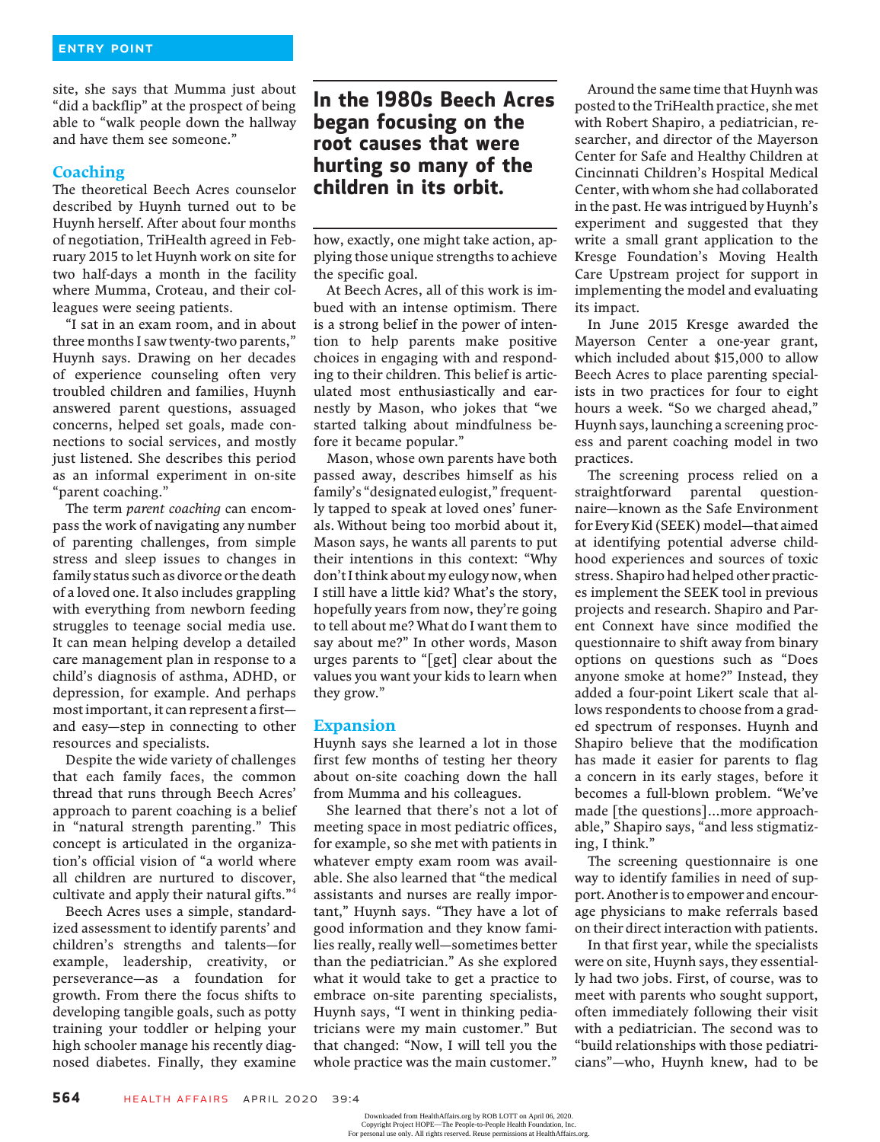site, she says that Mumma just about "did a backflip" at the prospect of being able to "walk people down the hallway and have them see someone."

#### **Coaching**

The theoretical Beech Acres counselor described by Huynh turned out to be Huynh herself. After about four months of negotiation, TriHealth agreed in February 2015 to let Huynh work on site for two half-days a month in the facility where Mumma, Croteau, and their colleagues were seeing patients.

"I sat in an exam room, and in about three months I saw twenty-two parents," Huynh says. Drawing on her decades of experience counseling often very troubled children and families, Huynh answered parent questions, assuaged concerns, helped set goals, made connections to social services, and mostly just listened. She describes this period as an informal experiment in on-site "parent coaching."

The term parent coaching can encompass the work of navigating any number of parenting challenges, from simple stress and sleep issues to changes in family status such as divorce or the death of a loved one. It also includes grappling with everything from newborn feeding struggles to teenage social media use. It can mean helping develop a detailed care management plan in response to a child's diagnosis of asthma, ADHD, or depression, for example. And perhaps most important, it can represent a first and easy—step in connecting to other resources and specialists.

Despite the wide variety of challenges that each family faces, the common thread that runs through Beech Acres' approach to parent coaching is a belief in "natural strength parenting." This concept is articulated in the organization's official vision of "a world where all children are nurtured to discover, cultivate and apply their natural gifts."<sup>4</sup>

Beech Acres uses a simple, standardized assessment to identify parents' and children's strengths and talents—for example, leadership, creativity, or perseverance—as a foundation for growth. From there the focus shifts to developing tangible goals, such as potty training your toddler or helping your high schooler manage his recently diagnosed diabetes. Finally, they examine

### In the 1980s Beech Acres began focusing on the root causes that were hurting so many of the children in its orbit.

how, exactly, one might take action, applying those unique strengths to achieve the specific goal.

At Beech Acres, all of this work is imbued with an intense optimism. There is a strong belief in the power of intention to help parents make positive choices in engaging with and responding to their children. This belief is articulated most enthusiastically and earnestly by Mason, who jokes that "we started talking about mindfulness before it became popular."

Mason, whose own parents have both passed away, describes himself as his family's "designated eulogist," frequently tapped to speak at loved ones' funerals. Without being too morbid about it, Mason says, he wants all parents to put their intentions in this context: "Why don't I think about my eulogy now, when I still have a little kid? What's the story, hopefully years from now, they're going to tell about me? What do I want them to say about me?" In other words, Mason urges parents to "[get] clear about the values you want your kids to learn when they grow."

#### Expansion

Huynh says she learned a lot in those first few months of testing her theory about on-site coaching down the hall from Mumma and his colleagues.

She learned that there's not a lot of meeting space in most pediatric offices, for example, so she met with patients in whatever empty exam room was available. She also learned that "the medical assistants and nurses are really important," Huynh says. "They have a lot of good information and they know families really, really well—sometimes better than the pediatrician." As she explored what it would take to get a practice to embrace on-site parenting specialists, Huynh says, "I went in thinking pediatricians were my main customer." But that changed: "Now, I will tell you the whole practice was the main customer."

Around the same time that Huynh was posted to the TriHealth practice, she met with Robert Shapiro, a pediatrician, researcher, and director of the Mayerson Center for Safe and Healthy Children at Cincinnati Children's Hospital Medical Center, with whom she had collaborated in the past. He was intrigued by Huynh's experiment and suggested that they write a small grant application to the Kresge Foundation's Moving Health Care Upstream project for support in implementing the model and evaluating its impact.

In June 2015 Kresge awarded the Mayerson Center a one-year grant, which included about \$15,000 to allow Beech Acres to place parenting specialists in two practices for four to eight hours a week. "So we charged ahead," Huynh says, launching a screening process and parent coaching model in two practices.

The screening process relied on a straightforward parental questionnaire—known as the Safe Environment for Every Kid (SEEK) model—that aimed at identifying potential adverse childhood experiences and sources of toxic stress. Shapiro had helped other practices implement the SEEK tool in previous projects and research. Shapiro and Parent Connext have since modified the questionnaire to shift away from binary options on questions such as "Does anyone smoke at home?" Instead, they added a four-point Likert scale that allows respondents to choose from a graded spectrum of responses. Huynh and Shapiro believe that the modification has made it easier for parents to flag a concern in its early stages, before it becomes a full-blown problem. "We've made [the questions]…more approachable," Shapiro says, "and less stigmatizing, I think."

The screening questionnaire is one way to identify families in need of support. Another is to empower and encourage physicians to make referrals based on their direct interaction with patients.

In that first year, while the specialists were on site, Huynh says, they essentially had two jobs. First, of course, was to meet with parents who sought support, often immediately following their visit with a pediatrician. The second was to "build relationships with those pediatricians"—who, Huynh knew, had to be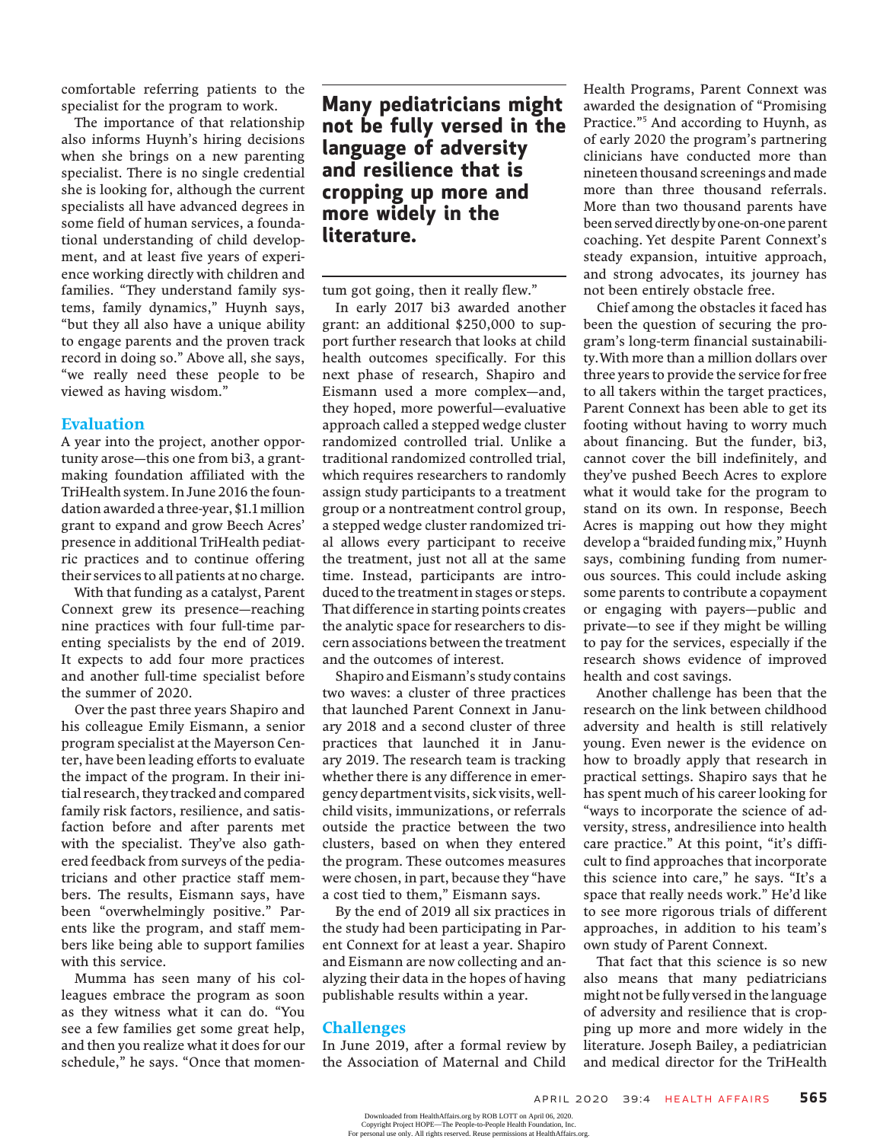comfortable referring patients to the specialist for the program to work.

The importance of that relationship also informs Huynh's hiring decisions when she brings on a new parenting specialist. There is no single credential she is looking for, although the current specialists all have advanced degrees in some field of human services, a foundational understanding of child development, and at least five years of experience working directly with children and families. "They understand family systems, family dynamics," Huynh says, "but they all also have a unique ability to engage parents and the proven track record in doing so." Above all, she says, "we really need these people to be viewed as having wisdom."

#### Evaluation

A year into the project, another opportunity arose—this one from bi3, a grantmaking foundation affiliated with the TriHealth system. In June 2016 the foundation awarded a three-year, \$1.1 million grant to expand and grow Beech Acres' presence in additional TriHealth pediatric practices and to continue offering their services to all patients at no charge.

With that funding as a catalyst, Parent Connext grew its presence—reaching nine practices with four full-time parenting specialists by the end of 2019. It expects to add four more practices and another full-time specialist before the summer of 2020.

Over the past three years Shapiro and his colleague Emily Eismann, a senior program specialist at the Mayerson Center, have been leading efforts to evaluate the impact of the program. In their initial research, they tracked and compared family risk factors, resilience, and satisfaction before and after parents met with the specialist. They've also gathered feedback from surveys of the pediatricians and other practice staff members. The results, Eismann says, have been "overwhelmingly positive." Parents like the program, and staff members like being able to support families with this service.

Mumma has seen many of his colleagues embrace the program as soon as they witness what it can do. "You see a few families get some great help, and then you realize what it does for our schedule," he says. "Once that momen-

## Many pediatricians might not be fully versed in the language of adversity and resilience that is cropping up more and more widely in the literature.

tum got going, then it really flew."

In early 2017 bi3 awarded another grant: an additional \$250,000 to support further research that looks at child health outcomes specifically. For this next phase of research, Shapiro and Eismann used a more complex—and, they hoped, more powerful—evaluative approach called a stepped wedge cluster randomized controlled trial. Unlike a traditional randomized controlled trial, which requires researchers to randomly assign study participants to a treatment group or a nontreatment control group, a stepped wedge cluster randomized trial allows every participant to receive the treatment, just not all at the same time. Instead, participants are introduced to the treatment in stages or steps. That difference in starting points creates the analytic space for researchers to discern associations between the treatment and the outcomes of interest.

Shapiro and Eismann's study contains two waves: a cluster of three practices that launched Parent Connext in January 2018 and a second cluster of three practices that launched it in January 2019. The research team is tracking whether there is any difference in emergency department visits, sick visits, wellchild visits, immunizations, or referrals outside the practice between the two clusters, based on when they entered the program. These outcomes measures were chosen, in part, because they "have a cost tied to them," Eismann says.

By the end of 2019 all six practices in the study had been participating in Parent Connext for at least a year. Shapiro and Eismann are now collecting and analyzing their data in the hopes of having publishable results within a year.

#### Challenges

In June 2019, after a formal review by the Association of Maternal and Child

Health Programs, Parent Connext was awarded the designation of "Promising Practice."<sup>5</sup> And according to Huynh, as of early 2020 the program's partnering clinicians have conducted more than nineteen thousand screenings and made more than three thousand referrals. More than two thousand parents have been served directly by one-on-one parent coaching. Yet despite Parent Connext's steady expansion, intuitive approach, and strong advocates, its journey has not been entirely obstacle free.

Chief among the obstacles it faced has been the question of securing the program's long-term financial sustainability.With more than a million dollars over three years to provide the service for free to all takers within the target practices, Parent Connext has been able to get its footing without having to worry much about financing. But the funder, bi3, cannot cover the bill indefinitely, and they've pushed Beech Acres to explore what it would take for the program to stand on its own. In response, Beech Acres is mapping out how they might develop a "braided funding mix," Huynh says, combining funding from numerous sources. This could include asking some parents to contribute a copayment or engaging with payers—public and private—to see if they might be willing to pay for the services, especially if the research shows evidence of improved health and cost savings.

Another challenge has been that the research on the link between childhood adversity and health is still relatively young. Even newer is the evidence on how to broadly apply that research in practical settings. Shapiro says that he has spent much of his career looking for "ways to incorporate the science of adversity, stress, andresilience into health care practice." At this point, "it's difficult to find approaches that incorporate this science into care," he says. "It's a space that really needs work." He'd like to see more rigorous trials of different approaches, in addition to his team's own study of Parent Connext.

That fact that this science is so new also means that many pediatricians might not be fully versed in the language of adversity and resilience that is cropping up more and more widely in the literature. Joseph Bailey, a pediatrician and medical director for the TriHealth